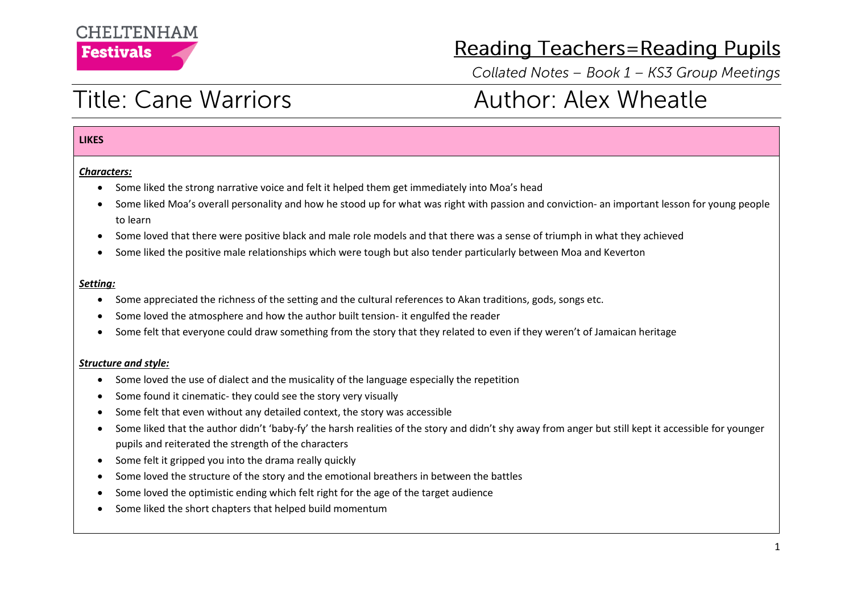### **CHEITENHAM Festivals**

### **Reading Teachers=Reading Pupils**

Collated Notes - Book 1 - KS3 Group Meetings

# **Title: Cane Warriors**

# **Author: Alex Wheatle**

#### **LIKES**

#### *Characters:*

- Some liked the strong narrative voice and felt it helped them get immediately into Moa's head
- Some liked Moa's overall personality and how he stood up for what was right with passion and conviction- an important lesson for young people to learn
- Some loved that there were positive black and male role models and that there was a sense of triumph in what they achieved
- Some liked the positive male relationships which were tough but also tender particularly between Moa and Keverton

#### *Setting:*

- Some appreciated the richness of the setting and the cultural references to Akan traditions, gods, songs etc.
- Some loved the atmosphere and how the author built tension- it engulfed the reader
- Some felt that everyone could draw something from the story that they related to even if they weren't of Jamaican heritage

#### *Structure and style:*

- Some loved the use of dialect and the musicality of the language especially the repetition
- Some found it cinematic- they could see the story very visually
- Some felt that even without any detailed context, the story was accessible
- Some liked that the author didn't 'baby-fy' the harsh realities of the story and didn't shy away from anger but still kept it accessible for younger pupils and reiterated the strength of the characters
- Some felt it gripped you into the drama really quickly
- Some loved the structure of the story and the emotional breathers in between the battles
- Some loved the optimistic ending which felt right for the age of the target audience
- Some liked the short chapters that helped build momentum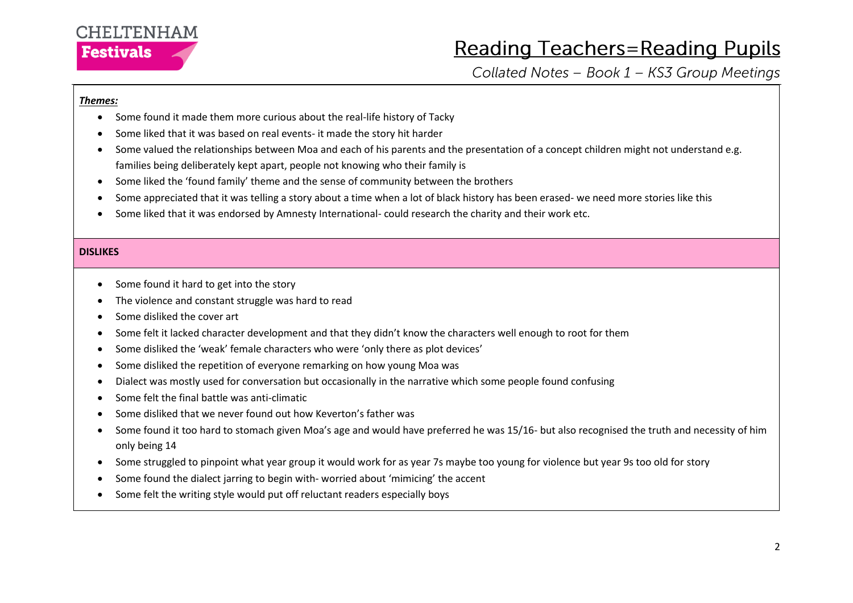

## **Reading Teachers=Reading Pupils**

Collated Notes - Book 1 - KS3 Group Meetings

#### *Themes:*

- Some found it made them more curious about the real-life history of Tacky
- Some liked that it was based on real events- it made the story hit harder
- Some valued the relationships between Moa and each of his parents and the presentation of a concept children might not understand e.g. families being deliberately kept apart, people not knowing who their family is
- Some liked the 'found family' theme and the sense of community between the brothers
- Some appreciated that it was telling a story about a time when a lot of black history has been erased- we need more stories like this
- Some liked that it was endorsed by Amnesty International- could research the charity and their work etc.

#### **DISLIKES**

- Some found it hard to get into the story
- The violence and constant struggle was hard to read
- Some disliked the cover art
- Some felt it lacked character development and that they didn't know the characters well enough to root for them
- Some disliked the 'weak' female characters who were 'only there as plot devices'
- Some disliked the repetition of everyone remarking on how young Moa was
- Dialect was mostly used for conversation but occasionally in the narrative which some people found confusing
- Some felt the final battle was anti-climatic
- Some disliked that we never found out how Keverton's father was
- Some found it too hard to stomach given Moa's age and would have preferred he was 15/16- but also recognised the truth and necessity of him only being 14
- Some struggled to pinpoint what year group it would work for as year 7s maybe too young for violence but year 9s too old for story
- Some found the dialect jarring to begin with- worried about 'mimicing' the accent
- Some felt the writing style would put off reluctant readers especially boys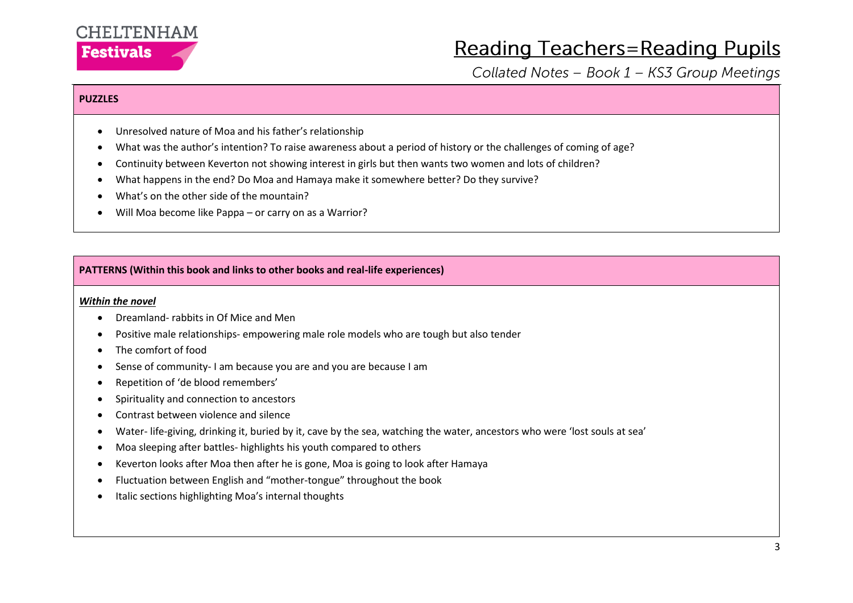

## **Reading Teachers=Reading Pupils**

Collated Notes - Book 1 - KS3 Group Meetings

#### **PUZZLES**

- Unresolved nature of Moa and his father's relationship
- What was the author's intention? To raise awareness about a period of history or the challenges of coming of age?
- Continuity between Keverton not showing interest in girls but then wants two women and lots of children?
- What happens in the end? Do Moa and Hamaya make it somewhere better? Do they survive?
- What's on the other side of the mountain?
- Will Moa become like Pappa or carry on as a Warrior?

#### **PATTERNS (Within this book and links to other books and real-life experiences)**

#### *Within the novel*

- Dreamland- rabbits in Of Mice and Men
- Positive male relationships- empowering male role models who are tough but also tender
- The comfort of food
- Sense of community- I am because you are and you are because I am
- Repetition of 'de blood remembers'
- Spirituality and connection to ancestors
- Contrast between violence and silence
- Water- life-giving, drinking it, buried by it, cave by the sea, watching the water, ancestors who were 'lost souls at sea'
- Moa sleeping after battles- highlights his youth compared to others
- Keverton looks after Moa then after he is gone, Moa is going to look after Hamaya
- Fluctuation between English and "mother-tongue" throughout the book
- Italic sections highlighting Moa's internal thoughts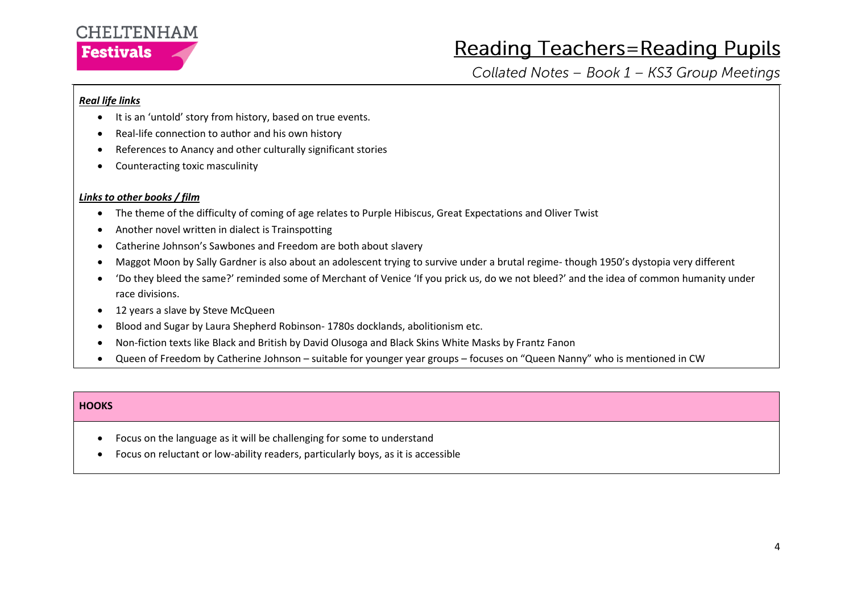### **CHELTENHAM Festivals**

# **Reading Teachers=Reading Pupils**

Collated Notes - Book 1 - KS3 Group Meetings

#### *Real life links*

- It is an 'untold' story from history, based on true events.
- Real-life connection to author and his own history
- References to Anancy and other culturally significant stories
- Counteracting toxic masculinity

#### *Links to other books / film*

- The theme of the difficulty of coming of age relates to Purple Hibiscus, Great Expectations and Oliver Twist
- Another novel written in dialect is Trainspotting
- Catherine Johnson's Sawbones and Freedom are both about slavery
- Maggot Moon by Sally Gardner is also about an adolescent trying to survive under a brutal regime- though 1950's dystopia very different
- 'Do they bleed the same?' reminded some of Merchant of Venice 'If you prick us, do we not bleed?' and the idea of common humanity under race divisions.
- 12 years a slave by Steve McQueen
- Blood and Sugar by Laura Shepherd Robinson- 1780s docklands, abolitionism etc.
- Non-fiction texts like Black and British by David Olusoga and Black Skins White Masks by Frantz Fanon
- Queen of Freedom by Catherine Johnson suitable for younger year groups focuses on "Queen Nanny" who is mentioned in CW

#### **HOOKS**

- Focus on the language as it will be challenging for some to understand
- Focus on reluctant or low-ability readers, particularly boys, as it is accessible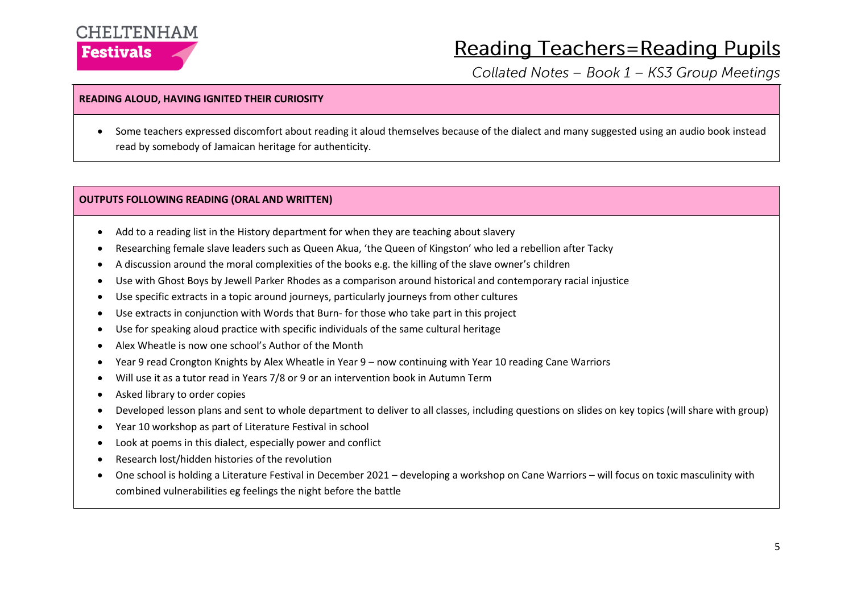### CHELTENHAM **Festivals**

## **Reading Teachers=Reading Pupils**

Collated Notes - Book 1 - KS3 Group Meetings

#### **READING ALOUD, HAVING IGNITED THEIR CURIOSITY**

• Some teachers expressed discomfort about reading it aloud themselves because of the dialect and many suggested using an audio book instead read by somebody of Jamaican heritage for authenticity.

#### **OUTPUTS FOLLOWING READING (ORAL AND WRITTEN)**

- Add to a reading list in the History department for when they are teaching about slavery
- Researching female slave leaders such as Queen Akua, 'the Queen of Kingston' who led a rebellion after Tacky
- A discussion around the moral complexities of the books e.g. the killing of the slave owner's children
- Use with Ghost Boys by Jewell Parker Rhodes as a comparison around historical and contemporary racial injustice
- Use specific extracts in a topic around journeys, particularly journeys from other cultures
- Use extracts in conjunction with Words that Burn- for those who take part in this project
- Use for speaking aloud practice with specific individuals of the same cultural heritage
- Alex Wheatle is now one school's Author of the Month
- Year 9 read Crongton Knights by Alex Wheatle in Year 9 now continuing with Year 10 reading Cane Warriors
- Will use it as a tutor read in Years 7/8 or 9 or an intervention book in Autumn Term
- Asked library to order copies
- Developed lesson plans and sent to whole department to deliver to all classes, including questions on slides on key topics (will share with group)
- Year 10 workshop as part of Literature Festival in school
- Look at poems in this dialect, especially power and conflict
- Research lost/hidden histories of the revolution
- One school is holding a Literature Festival in December 2021 developing a workshop on Cane Warriors will focus on toxic masculinity with combined vulnerabilities eg feelings the night before the battle